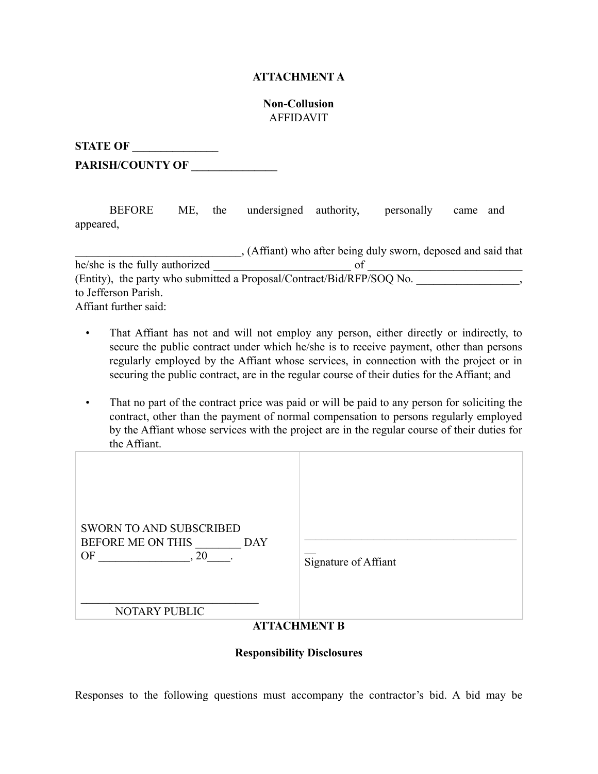## **ATTACHMENT A**

## **Non-Collusion**  AFFIDAVIT

**STATE OF** 

PARISH/COUNTY OF \_\_\_\_\_\_\_

 BEFORE ME, the undersigned authority, personally came and appeared,

|                                | , (Affiant) who after being duly sworn, deposed and said that         |
|--------------------------------|-----------------------------------------------------------------------|
| he/she is the fully authorized |                                                                       |
|                                | (Entity), the party who submitted a Proposal/Contract/Bid/RFP/SOQ No. |
| to Jefferson Parish.           |                                                                       |
| Affiant further said:          |                                                                       |

- That Affiant has not and will not employ any person, either directly or indirectly, to secure the public contract under which he/she is to receive payment, other than persons regularly employed by the Affiant whose services, in connection with the project or in securing the public contract, are in the regular course of their duties for the Affiant; and
- That no part of the contract price was paid or will be paid to any person for soliciting the contract, other than the payment of normal compensation to persons regularly employed by the Affiant whose services with the project are in the regular course of their duties for the Affiant.

| <b>SWORN TO AND SUBSCRIBED</b><br>BEFORE ME ON THIS<br><b>DAY</b><br>20<br>OF<br>Signature of Affiant<br>NOTARY PUBLIC<br><b>ATTACHMENT B</b> |
|-----------------------------------------------------------------------------------------------------------------------------------------------|
|-----------------------------------------------------------------------------------------------------------------------------------------------|

## **Responsibility Disclosures**

Responses to the following questions must accompany the contractor's bid. A bid may be